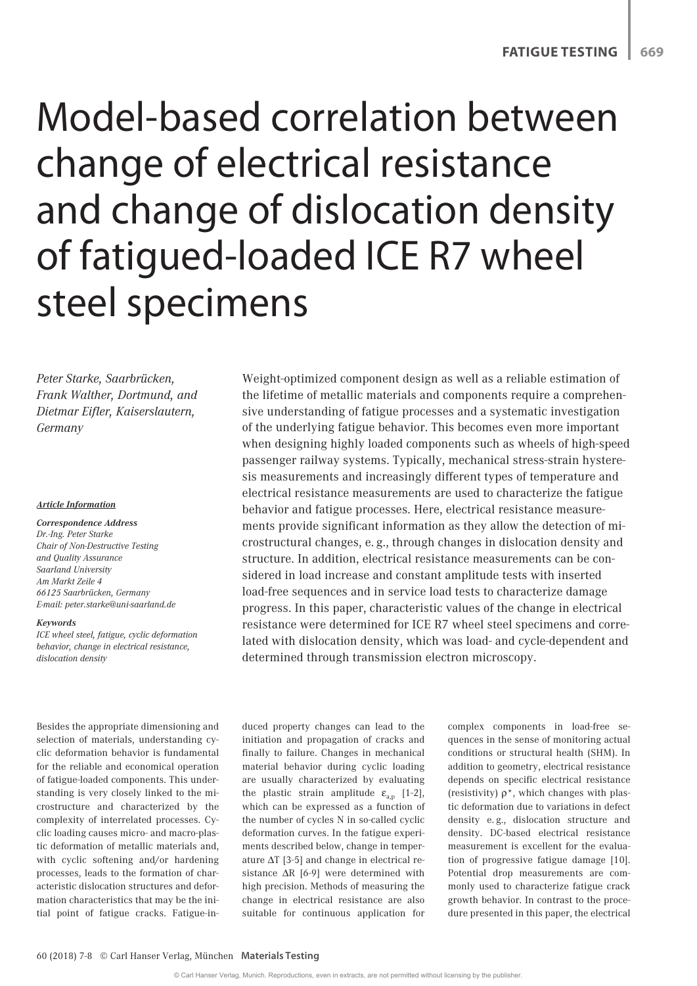# Model-based correlation between change of electrical resistance and change of dislocation density of fatigued-loaded ICE R7 wheel steel specimens

*Peter Starke, Saarbrücken, Frank Walther, Dortmund, and Dietmar Eifler, Kaiserslautern, Germany*

#### *Article Information*

#### *Correspondence Address*

*Dr.-Ing. Peter Starke Chair of Non-Destructive Testing and Quality Assurance Saarland University Am Markt Zeile 4 66125 Saarbrücken, Germany E-mail: peter.starke@uni-saarland.de*

#### *Keywords*

*ICE wheel steel, fatigue, cyclic deformation behavior, change in electrical resistance, dislocation density*

Besides the appropriate dimensioning and selection of materials, understanding cyclic deformation behavior is fundamental for the reliable and economical operation of fatigue-loaded components. This understanding is very closely linked to the microstructure and characterized by the complexity of interrelated processes. Cyclic loading causes micro- and macro-plastic deformation of metallic materials and, with cyclic softening and/or hardening processes, leads to the formation of characteristic dislocation structures and deformation characteristics that may be the initial point of fatigue cracks. Fatigue-in-

Weight-optimized component design as well as a reliable estimation of the lifetime of metallic materials and components require a comprehensive understanding of fatigue processes and a systematic investigation of the underlying fatigue behavior. This becomes even more important when designing highly loaded components such as wheels of high-speed passenger railway systems. Typically, mechanical stress-strain hysteresis measurements and increasingly different types of temperature and electrical resistance measurements are used to characterize the fatigue behavior and fatigue processes. Here, electrical resistance measurements provide significant information as they allow the detection of microstructural changes, e. g., through changes in dislocation density and structure. In addition, electrical resistance measurements can be considered in load increase and constant amplitude tests with inserted load-free sequences and in service load tests to characterize damage progress. In this paper, characteristic values of the change in electrical resistance were determined for ICE R7 wheel steel specimens and correlated with dislocation density, which was load- and cycle-dependent and determined through transmission electron microscopy.

duced property changes can lead to the initiation and propagation of cracks and finally to failure. Changes in mechanical material behavior during cyclic loading are usually characterized by evaluating the plastic strain amplitude  $\varepsilon_{a,n}$  [1-2], which can be expressed as a function of the number of cycles N in so-called cyclic deformation curves. In the fatigue experiments described below, change in temperature ∆T [3-5] and change in electrical resistance ∆R [6-9] were determined with high precision. Methods of measuring the change in electrical resistance are also suitable for continuous application for

complex components in load-free sequences in the sense of monitoring actual conditions or structural health (SHM). In addition to geometry, electrical resistance depends on specific electrical resistance (resistivity)  $\rho^*$ , which changes with plastic deformation due to variations in defect density e. g., dislocation structure and density. DC-based electrical resistance measurement is excellent for the evaluation of progressive fatigue damage [10]. Potential drop measurements are commonly used to characterize fatigue crack growth behavior. In contrast to the procedure presented in this paper, the electrical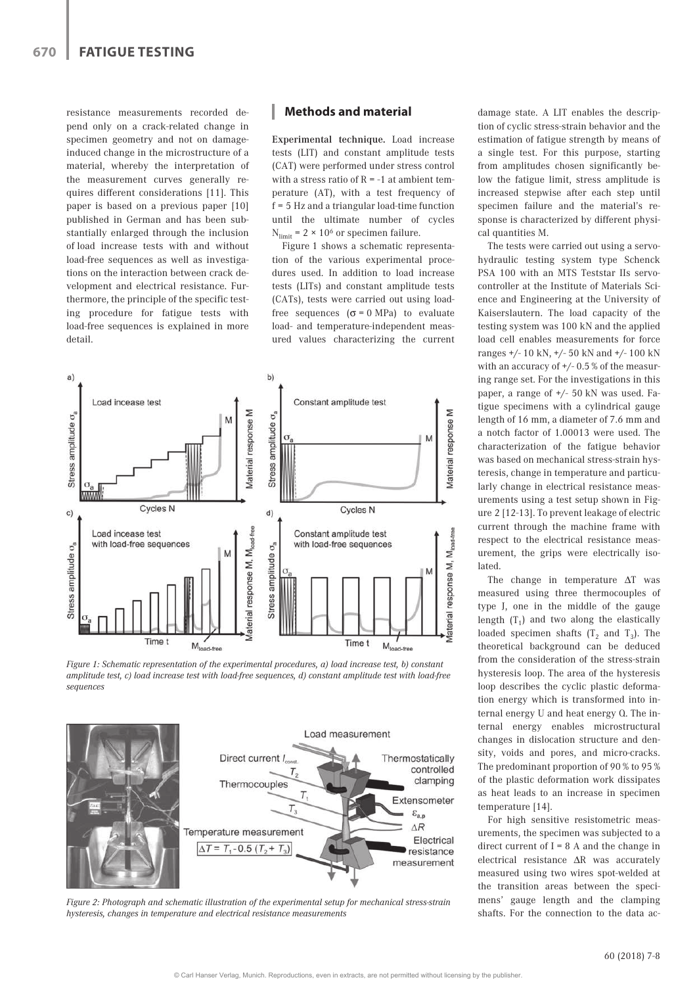resistance measurements recorded depend only on a crack-related change in specimen geometry and not on damageinduced change in the microstructure of a material, whereby the interpretation of the measurement curves generally requires different considerations [11]. This paper is based on a previous paper [10] published in German and has been substantially enlarged through the inclusion of load increase tests with and without load-free sequences as well as investigations on the interaction between crack development and electrical resistance. Furthermore, the principle of the specific testing procedure for fatigue tests with load-free sequences is explained in more detail.

## **Methods and material**

Experimental technique. Load increase tests (LIT) and constant amplitude tests (CAT) were performed under stress control with a stress ratio of  $R = -1$  at ambient temperature (AT), with a test frequency of f = 5 Hz and a triangular load-time function until the ultimate number of cycles  $N_{limit}$  = 2 × 10<sup>6</sup> or specimen failure.

Figure 1 shows a schematic representation of the various experimental procedures used. In addition to load increase tests (LITs) and constant amplitude tests (CATs), tests were carried out using loadfree sequences ( $\sigma$  = 0 MPa) to evaluate load- and temperature-independent measured values characterizing the current



*Figure 1: Schematic representation of the experimental procedures, a) load increase test, b) constant amplitude test, c) load increase test with load-free sequences, d) constant amplitude test with load-free sequences*



*Figure 2: Photograph and schematic illustration of the experimental setup for mechanical stress-strain hysteresis, changes in temperature and electrical resistance measurements*

damage state. A LIT enables the description of cyclic stress-strain behavior and the estimation of fatigue strength by means of a single test. For this purpose, starting from amplitudes chosen significantly below the fatigue limit, stress amplitude is increased stepwise after each step until specimen failure and the material's response is characterized by different physical quantities M.

The tests were carried out using a servohydraulic testing system type Schenck PSA 100 with an MTS Teststar IIs servocontroller at the Institute of Materials Science and Engineering at the University of Kaiserslautern. The load capacity of the testing system was 100 kN and the applied load cell enables measurements for force ranges +/- 10 kN, +/- 50 kN and +/- 100 kN with an accuracy of +/- 0.5 % of the measuring range set. For the investigations in this paper, a range of +/- 50 kN was used. Fatigue specimens with a cylindrical gauge length of 16 mm, a diameter of 7.6 mm and a notch factor of 1.00013 were used. The characterization of the fatigue behavior was based on mechanical stress-strain hysteresis, change in temperature and particularly change in electrical resistance measurements using a test setup shown in Figure 2 [12-13]. To prevent leakage of electric current through the machine frame with respect to the electrical resistance measurement, the grips were electrically isolated.

The change in temperature ΔT was measured using three thermocouples of type J, one in the middle of the gauge length  $(T_1)$  and two along the elastically loaded specimen shafts  $(T_2 \text{ and } T_3)$ . The theoretical background can be deduced from the consideration of the stress-strain hysteresis loop. The area of the hysteresis loop describes the cyclic plastic deformation energy which is transformed into internal energy U and heat energy Q. The internal energy enables microstructural changes in dislocation structure and density, voids and pores, and micro-cracks. The predominant proportion of 90 % to 95 % of the plastic deformation work dissipates as heat leads to an increase in specimen temperature [14].

For high sensitive resistometric measurements, the specimen was subjected to a direct current of  $I = 8$  A and the change in electrical resistance ΔR was accurately measured using two wires spot-welded at the transition areas between the specimens' gauge length and the clamping shafts. For the connection to the data ac-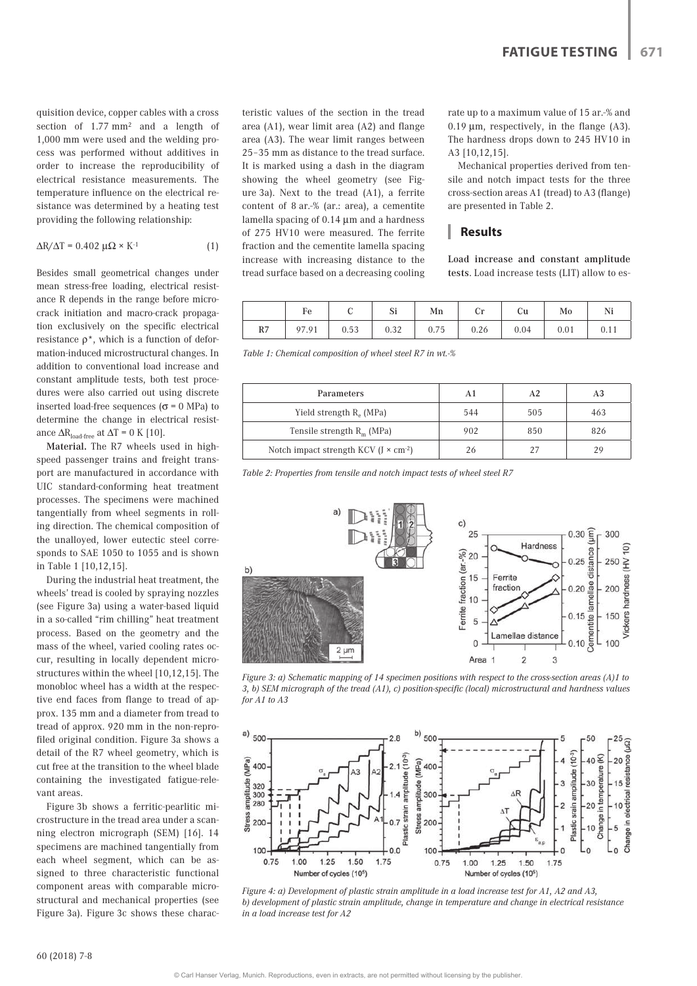quisition device, copper cables with a cross section of 1.77 mm2 and a length of 1,000 mm were used and the welding process was performed without additives in order to increase the reproducibility of electrical resistance measurements. The temperature influence on the electrical resistance was determined by a heating test providing the following relationship:

$$
\Delta R/\Delta T = 0.402 \,\mu\Omega \times K^{-1} \tag{1}
$$

Besides small geometrical changes under mean stress-free loading, electrical resistance R depends in the range before microcrack initiation and macro-crack propagation exclusively on the specific electrical resistance  $\rho^*$ , which is a function of deformation-induced microstructural changes. In addition to conventional load increase and constant amplitude tests, both test procedures were also carried out using discrete inserted load-free sequences ( $\sigma$  = 0 MPa) to determine the change in electrical resistance  $\Delta R_{\text{load-free}}$  at  $\Delta T = 0$  K [10].

Material. The R7 wheels used in highspeed passenger trains and freight transport are manufactured in accordance with UIC standard-conforming heat treatment processes. The specimens were machined tangentially from wheel segments in rolling direction. The chemical composition of the unalloyed, lower eutectic steel corresponds to SAE 1050 to 1055 and is shown in Table 1 [10,12,15].

During the industrial heat treatment, the wheels' tread is cooled by spraying nozzles (see Figure 3a) using a water-based liquid in a so-called "rim chilling" heat treatment process. Based on the geometry and the mass of the wheel, varied cooling rates occur, resulting in locally dependent microstructures within the wheel [10,12,15]. The monobloc wheel has a width at the respective end faces from flange to tread of approx. 135 mm and a diameter from tread to tread of approx. 920 mm in the non-reprofiled original condition. Figure 3a shows a detail of the R7 wheel geometry, which is cut free at the transition to the wheel blade containing the investigated fatigue-relevant areas.

Figure 3b shows a ferritic-pearlitic microstructure in the tread area under a scanning electron micrograph (SEM) [16]. 14 specimens are machined tangentially from each wheel segment, which can be assigned to three characteristic functional component areas with comparable microstructural and mechanical properties (see Figure 3a). Figure 3c shows these characteristic values of the section in the tread area (A1), wear limit area (A2) and flange area (A3). The wear limit ranges between 25–35 mm as distance to the tread surface. It is marked using a dash in the diagram showing the wheel geometry (see Figure 3a). Next to the tread (A1), a ferrite content of 8 ar.-% (ar.: area), a cementite lamella spacing of 0.14 μm and a hardness of 275 HV10 were measured. The ferrite fraction and the cementite lamella spacing increase with increasing distance to the tread surface based on a decreasing cooling

rate up to a maximum value of 15 ar.-% and  $0.19 \mu m$ , respectively, in the flange (A3). The hardness drops down to 245 HV10 in A3 [10,12,15].

Mechanical properties derived from tensile and notch impact tests for the three cross-section areas A1 (tread) to A3 (flange) are presented in Table 2.

## **Results**

Load increase and constant amplitude tests. Load increase tests (LIT) allow to es-

|    | Fe    |      | Si                                | Mn | Cr   | Cu   | Mo   | Ni   |
|----|-------|------|-----------------------------------|----|------|------|------|------|
| R7 | 97.91 | 0.53 | $0.32 \quad 0.75$<br>$\mathbf{I}$ |    | 0.26 | 0.04 | 0.01 | 0.11 |

*Table 1: Chemical composition of wheel steel R7 in wt.-%*

| Parameters                                     | A1  | A2  | A3  |
|------------------------------------------------|-----|-----|-----|
| Yield strength R <sub>o</sub> (MPa)            | 544 | 505 | 463 |
| Tensile strength $R_m$ (MPa)                   | 902 | 850 | 826 |
| Notch impact strength KCV $(J \times cm^{-2})$ | 26  | 27  | 29  |

*Table 2: Properties from tensile and notch impact tests of wheel steel R7*



*Figure 3: a) Schematic mapping of 14 specimen positions with respect to the cross-section areas (A)1 to 3, b) SEM micrograph of the tread (A1), c) position-specific (local) microstructural and hardness values for A1 to A3*



*Figure 4: a) Development of plastic strain amplitude in a load increase test for A1, A2 and A3, b) development of plastic strain amplitude, change in temperature and change in electrical resistance in a load increase test for A2*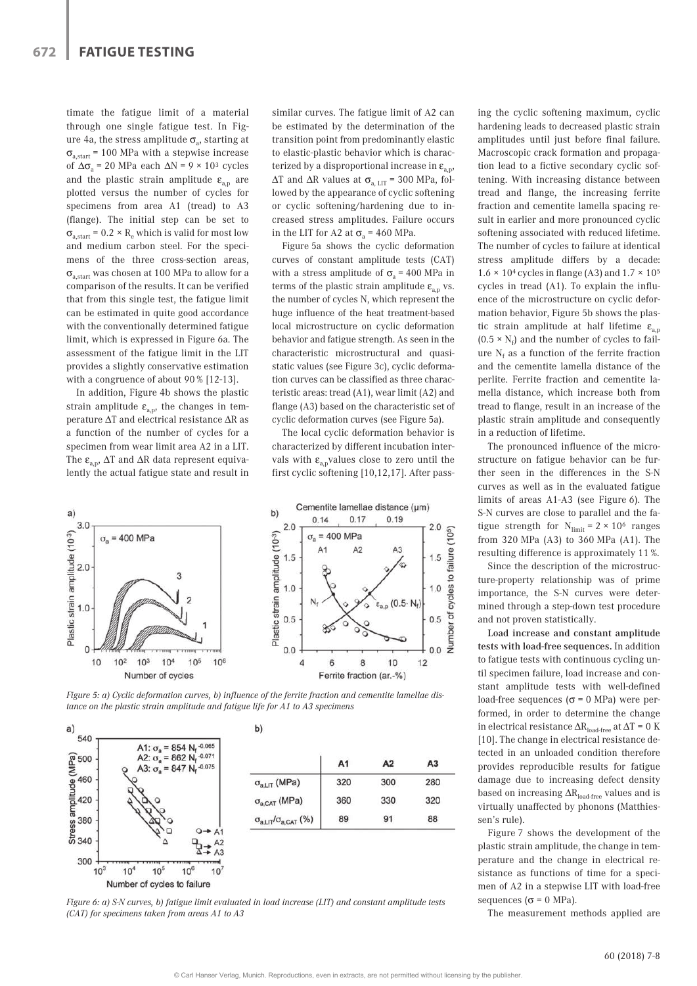timate the fatigue limit of a material through one single fatigue test. In Figure 4a, the stress amplitude  $\sigma_{a}$ , starting at  $\sigma_{\text{a.start}}$  = 100 MPa with a stepwise increase of  $\Delta\sigma$ <sub>a</sub> = 20 MPa each  $\Delta N$  = 9 × 10<sup>3</sup> cycles and the plastic strain amplitude  $\varepsilon_{a,n}$  are plotted versus the number of cycles for specimens from area A1 (tread) to A3 (flange). The initial step can be set to  $\sigma_{\text{a.start}}$  = 0.2 × R<sub>e</sub> which is valid for most low and medium carbon steel. For the specimens of the three cross-section areas,  $\sigma_{\text{a.start}}$  was chosen at 100 MPa to allow for a comparison of the results. It can be verified that from this single test, the fatigue limit can be estimated in quite good accordance with the conventionally determined fatigue limit, which is expressed in Figure 6a. The assessment of the fatigue limit in the LIT provides a slightly conservative estimation with a congruence of about 90 % [12-13].

In addition, Figure 4b shows the plastic strain amplitude  $\varepsilon_{a,p}$ , the changes in temperature ∆T and electrical resistance ∆R as a function of the number of cycles for a specimen from wear limit area A2 in a LIT. The  $\varepsilon_{av}$ ,  $\Delta T$  and  $\Delta R$  data represent equivalently the actual fatigue state and result in similar curves. The fatigue limit of A2 can be estimated by the determination of the transition point from predominantly elastic to elastic-plastic behavior which is characterized by a disproportional increase in  $\varepsilon_{\text{av}}$ ,  $\Delta T$  and  $\Delta R$  values at  $\sigma_{a,\text{LIT}}$  = 300 MPa, followed by the appearance of cyclic softening or cyclic softening/hardening due to increased stress amplitudes. Failure occurs in the LIT for A2 at  $\sigma$ <sub>a</sub> = 460 MPa.

Figure 5a shows the cyclic deformation curves of constant amplitude tests (CAT) with a stress amplitude of  $\sigma$ <sub>a</sub> = 400 MPa in terms of the plastic strain amplitude  $\varepsilon_{a,p}$  vs. the number of cycles N, which represent the huge influence of the heat treatment-based local microstructure on cyclic deformation behavior and fatigue strength. As seen in the characteristic microstructural and quasistatic values (see Figure 3c), cyclic deformation curves can be classified as three characteristic areas: tread (A1), wear limit (A2) and flange (A3) based on the characteristic set of cyclic deformation curves (see Figure 5a).

The local cyclic deformation behavior is characterized by different incubation intervals with  $\varepsilon_{a,p}$ values close to zero until the first cyclic softening [10,12,17]. After pass-



*Figure 5: a) Cyclic deformation curves, b) influence of the ferrite fraction and cementite lamellae distance on the plastic strain amplitude and fatigue life for A1 to A3 specimens*



b)

|                                       | A <sub>1</sub> | A2  | A3  |
|---------------------------------------|----------------|-----|-----|
| $\sigma_{a, LIT}$ (MPa)               | 320            | 300 | 280 |
| $\sigma_{a,CAT}$ (MPa)                | 360            | 330 | 320 |
| $\sigma_{a, LIT}/\sigma_{a, CAT}$ (%) | 89             | 91  | 88  |

*Figure 6: a) S-N curves, b) fatigue limit evaluated in load increase (LIT) and constant amplitude tests (CAT) for specimens taken from areas A1 to A3*

ing the cyclic softening maximum, cyclic hardening leads to decreased plastic strain amplitudes until just before final failure. Macroscopic crack formation and propagation lead to a fictive secondary cyclic softening. With increasing distance between tread and flange, the increasing ferrite fraction and cementite lamella spacing result in earlier and more pronounced cyclic softening associated with reduced lifetime. The number of cycles to failure at identical stress amplitude differs by a decade:  $1.6 \times 10^4$  cycles in flange (A3) and  $1.7 \times 10^5$ cycles in tread (A1). To explain the influence of the microstructure on cyclic deformation behavior, Figure 5b shows the plastic strain amplitude at half lifetime  $\varepsilon_{a,p}$ (0.5  $\times$   $\mathrm{N_{f}})$  and the number of cycles to failure  $\mathrm{N_{f}}$  as a function of the ferrite fraction and the cementite lamella distance of the perlite. Ferrite fraction and cementite lamella distance, which increase both from tread to flange, result in an increase of the plastic strain amplitude and consequently in a reduction of lifetime.

The pronounced influence of the microstructure on fatigue behavior can be further seen in the differences in the S-N curves as well as in the evaluated fatigue limits of areas A1-A3 (see Figure 6). The S-N curves are close to parallel and the fatigue strength for  $N_{\text{limit}} = 2 \times 10^6$  ranges from 320 MPa (A3) to 360 MPa (A1). The resulting difference is approximately 11 %.

Since the description of the microstructure-property relationship was of prime importance, the S-N curves were determined through a step-down test procedure and not proven statistically.

Load increase and constant amplitude tests with load-free sequences. In addition to fatigue tests with continuous cycling until specimen failure, load increase and constant amplitude tests with well-defined load-free sequences ( $\sigma$  = 0 MPa) were performed, in order to determine the change in electrical resistance  $\Delta R_{load-free}$  at  $\Delta T = 0$  K [10]. The change in electrical resistance detected in an unloaded condition therefore provides reproducible results for fatigue damage due to increasing defect density based on increasing ∆R<sub>load-free</sub> values and is virtually unaffected by phonons (Matthiessen's rule).

Figure 7 shows the development of the plastic strain amplitude, the change in temperature and the change in electrical resistance as functions of time for a specimen of A2 in a stepwise LIT with load-free sequences ( $\sigma$  = 0 MPa).

The measurement methods applied are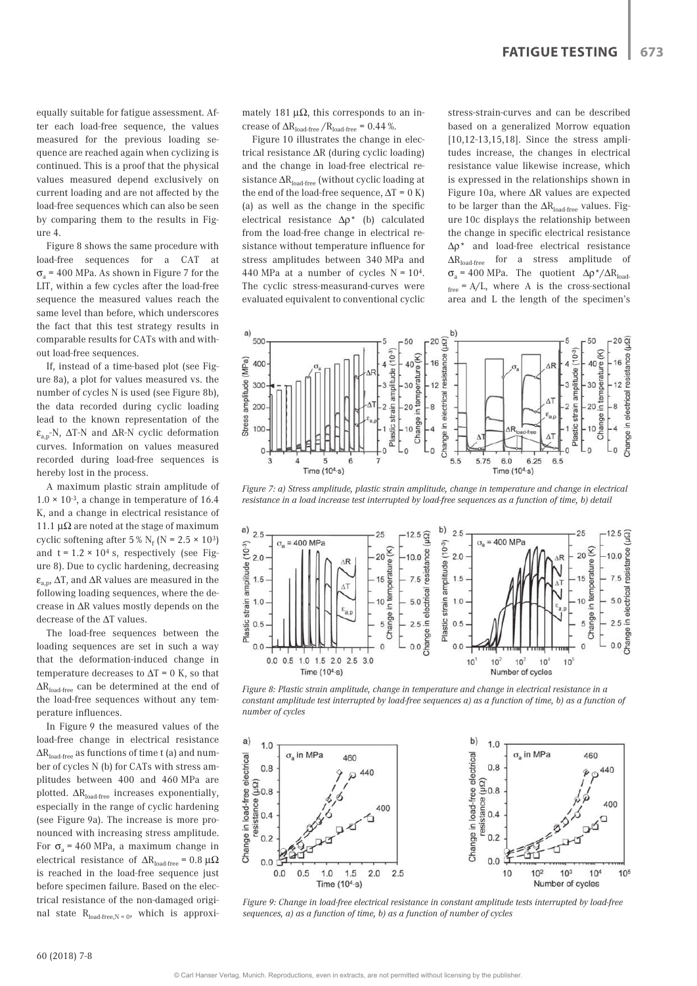equally suitable for fatigue assessment. After each load-free sequence, the values measured for the previous loading sequence are reached again when cyclizing is continued. This is a proof that the physical values measured depend exclusively on current loading and are not affected by the load-free sequences which can also be seen by comparing them to the results in Figure 4.

Figure 8 shows the same procedure with load-free sequences for a CAT at  $\sigma$ <sub>2</sub> = 400 MPa. As shown in Figure 7 for the LIT, within a few cycles after the load-free sequence the measured values reach the same level than before, which underscores the fact that this test strategy results in comparable results for CATs with and without load-free sequences.

If, instead of a time-based plot (see Figure 8a), a plot for values measured vs. the number of cycles N is used (see Figure 8b), the data recorded during cyclic loading lead to the known representation of the  $\varepsilon_{\text{an}}$ -N,  $\Delta$ T-N and  $\Delta$ R-N cyclic deformation curves. Information on values measured recorded during load-free sequences is hereby lost in the process.

A maximum plastic strain amplitude of  $1.0 \times 10^{-3}$ , a change in temperature of 16.4 K, and a change in electrical resistance of 11.1  $\mu\Omega$  are noted at the stage of maximum cyclic softening after  $5\%$  N<sub>f</sub> (N =  $2.5 \times 10^3$ ) and  $t = 1.2 \times 10^4$  s, respectively (see Figure 8). Due to cyclic hardening, decreasing  $\varepsilon_{a,p}$ ,  $\Delta T$ , and  $\Delta R$  values are measured in the following loading sequences, where the decrease in ∆R values mostly depends on the decrease of the ∆T values.

The load-free sequences between the loading sequences are set in such a way that the deformation-induced change in temperature decreases to  $\Delta T = 0$  K, so that ∆Rload-free can be determined at the end of the load-free sequences without any temperature influences.

In Figure 9 the measured values of the load-free change in electrical resistance  $\Delta \rm{R}_{\rm{load-free}}$  as functions of time t (a) and number of cycles N (b) for CATs with stress amplitudes between 400 and 460 MPa are plotted.  $\Delta R_{load-free}$  increases exponentially, especially in the range of cyclic hardening (see Figure 9a). The increase is more pronounced with increasing stress amplitude. For  $\sigma$ <sub>a</sub> = 460 MPa, a maximum change in electrical resistance of  $\Delta R_{load-free}$  = 0.8 μΩ is reached in the load-free sequence just before specimen failure. Based on the electrical resistance of the non-damaged original state  $R_{load-free,N=0}$ , which is approximately 181  $\mu\Omega$ , this corresponds to an increase of  $\Delta R_{\text{load-free}} / R_{\text{load-free}} = 0.44$ %.

Figure 10 illustrates the change in electrical resistance ∆R (during cyclic loading) and the change in load-free electrical resistance  $\Delta R_{load-free}$  (without cyclic loading at the end of the load-free sequence,  $\Delta T = 0 K$ ) (a) as well as the change in the specific electrical resistance ∆ρ\* (b) calculated from the load-free change in electrical resistance without temperature influence for stress amplitudes between 340 MPa and 440 MPa at a number of cycles  $N = 10<sup>4</sup>$ . The cyclic stress-measurand-curves were evaluated equivalent to conventional cyclic stress-strain-curves and can be described based on a generalized Morrow equation [10,12-13,15,18]. Since the stress amplitudes increase, the changes in electrical resistance value likewise increase, which is expressed in the relationships shown in Figure 10a, where ∆R values are expected to be larger than the  $\Delta \rm{R_{load-free}}$  values. Figure 10c displays the relationship between the change in specific electrical resistance Δρ\* and load-free electrical resistance  $\Delta R_{load-free}$  for a stress amplitude of  $σ<sub>a</sub> = 400 MPa$ . The quotient  $Δρ^*/ΔR<sub>load</sub>$  $f_{\text{free}} = A/L$ , where A is the cross-sectional area and L the length of the specimen's



*Figure 7: a) Stress amplitude, plastic strain amplitude, change in temperature and change in electrical resistance in a load increase test interrupted by load-free sequences as a function of time, b) detail*



*Figure 8: Plastic strain amplitude, change in temperature and change in electrical resistance in a constant amplitude test interrupted by load-free sequences a) as a function of time, b) as a function of number of cycles*



*Figure 9: Change in load-free electrical resistance in constant amplitude tests interrupted by load-free sequences, a) as a function of time, b) as a function of number of cycles*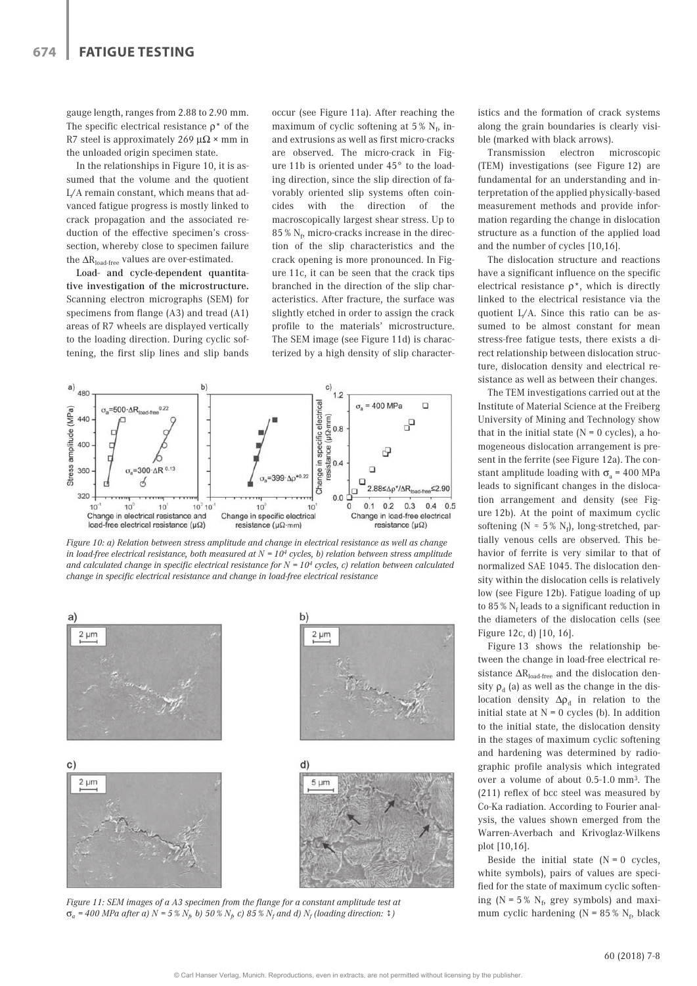gauge length, ranges from 2.88 to 2.90 mm. The specific electrical resistance  $\rho^*$  of the R7 steel is approximately 269  $\mu\Omega \times$  mm in the unloaded origin specimen state.

In the relationships in Figure 10, it is assumed that the volume and the quotient L/A remain constant, which means that advanced fatigue progress is mostly linked to crack propagation and the associated reduction of the effective specimen's crosssection, whereby close to specimen failure the  $\Delta R_{load-free}$  values are over-estimated.

Load- and cycle-dependent quantitative investigation of the microstructure. Scanning electron micrographs (SEM) for specimens from flange (A3) and tread (A1) areas of R7 wheels are displayed vertically to the loading direction. During cyclic softening, the first slip lines and slip bands occur (see Figure 11a). After reaching the maximum of cyclic softening at  $5\%$  N<sub>f</sub>, inand extrusions as well as first micro-cracks are observed. The micro-crack in Figure 11b is oriented under 45° to the loading direction, since the slip direction of favorably oriented slip systems often coincides with the direction of the macroscopically largest shear stress. Up to  $85\,\%$   ${\rm N}_{\rm f},$  micro-cracks increase in the direction of the slip characteristics and the crack opening is more pronounced. In Figure 11c, it can be seen that the crack tips branched in the direction of the slip characteristics. After fracture, the surface was slightly etched in order to assign the crack profile to the materials' microstructure. The SEM image (see Figure 11d) is characterized by a high density of slip character-



*Figure 10: a) Relation between stress amplitude and change in electrical resistance as well as change in load-free electrical resistance, both measured at N = 104 cycles, b) relation between stress amplitude and calculated change in specific electrical resistance for N = 104 cycles, c) relation between calculated change in specific electrical resistance and change in load-free electrical resistance*



*Figure 11: SEM images of a A3 specimen from the flange for a constant amplitude test at*   $\sigma_a$  = 400 MPa after a) N = 5 %  $N_p$  b) 50 %  $N_p$  c) 85 %  $N_f$  and d)  $N_f$  (loading direction:  $\ddot{\tau}$  )

istics and the formation of crack systems along the grain boundaries is clearly visible (marked with black arrows).

Transmission electron microscopic (TEM) investigations (see Figure 12) are fundamental for an understanding and interpretation of the applied physically-based measurement methods and provide information regarding the change in dislocation structure as a function of the applied load and the number of cycles [10,16].

The dislocation structure and reactions have a significant influence on the specific electrical resistance  $\rho^*$ , which is directly linked to the electrical resistance via the quotient L/A. Since this ratio can be assumed to be almost constant for mean stress-free fatigue tests, there exists a direct relationship between dislocation structure, dislocation density and electrical resistance as well as between their changes.

The TEM investigations carried out at the Institute of Material Science at the Freiberg University of Mining and Technology show that in the initial state  $(N = 0 \text{ cycles})$ , a homogeneous dislocation arrangement is present in the ferrite (see Figure 12a). The constant amplitude loading with  $\sigma$  = 400 MPa leads to significant changes in the dislocation arrangement and density (see Figure 12b). At the point of maximum cyclic softening ( $N \approx 5\%$  N<sub>f</sub>), long-stretched, partially venous cells are observed. This behavior of ferrite is very similar to that of normalized SAE 1045. The dislocation density within the dislocation cells is relatively low (see Figure 12b). Fatigue loading of up to 85 %  $\rm N_f$  leads to a significant reduction in the diameters of the dislocation cells (see Figure 12c, d) [10, 16].

Figure 13 shows the relationship between the change in load-free electrical resistance  $\Delta R_{\text{load-free}}$  and the dislocation density  $\rho_d$  (a) as well as the change in the dislocation density  $\Delta \rho_d$  in relation to the initial state at  $N = 0$  cycles (b). In addition to the initial state, the dislocation density in the stages of maximum cyclic softening and hardening was determined by radiographic profile analysis which integrated over a volume of about 0.5-1.0 mm3. The (211) reflex of bcc steel was measured by Co-Ka radiation. According to Fourier analysis, the values shown emerged from the Warren-Averbach and Krivoglaz-Wilkens plot [10,16].

Beside the initial state  $(N = 0$  cycles, white symbols), pairs of values are specified for the state of maximum cyclic softening ( $N = 5\% N_f$ , grey symbols) and maximum cyclic hardening ( $N = 85\% N_f$ , black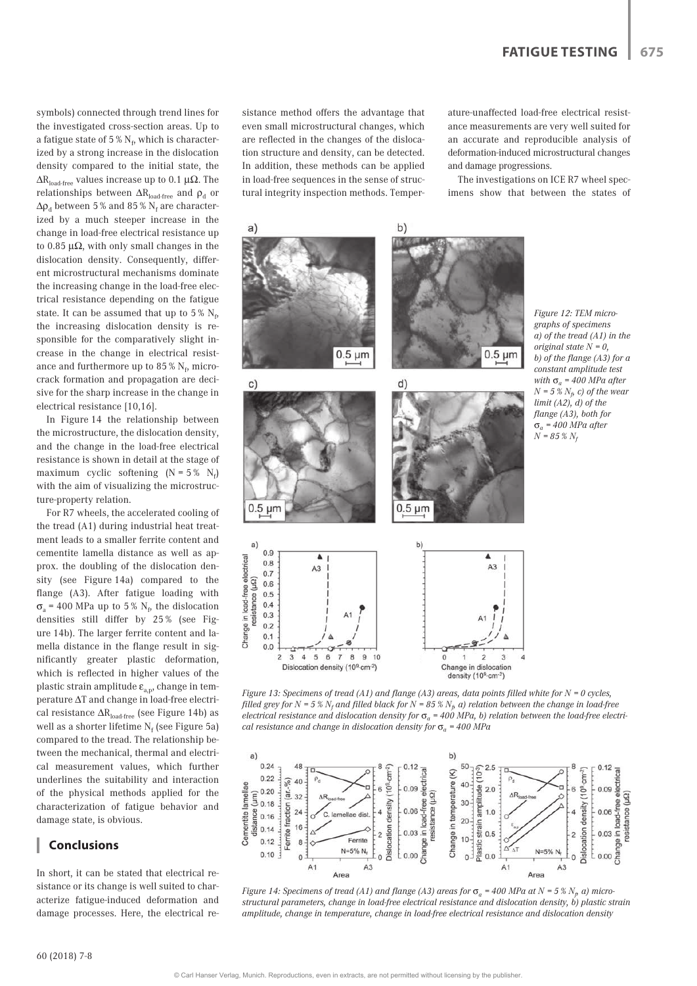symbols) connected through trend lines for the investigated cross-section areas. Up to a fatigue state of 5 %  $\mathrm{N_{f_2}}$  which is characterized by a strong increase in the dislocation density compared to the initial state, the  $ΔR<sub>load-free</sub>$  values increase up to 0.1  $μΩ$ . The relationships between  $\Delta R_{load-free}$  and  $\rho_d$  or  $\Delta \rho_\mathrm{d}$  between 5 % and 85 %  $\mathrm{N_f}$  are characterized by a much steeper increase in the change in load-free electrical resistance up to 0.85  $\mu\Omega$ , with only small changes in the dislocation density. Consequently, different microstructural mechanisms dominate the increasing change in the load-free electrical resistance depending on the fatigue state. It can be assumed that up to 5 %  $\rm N_f$ , the increasing dislocation density is responsible for the comparatively slight increase in the change in electrical resistance and furthermore up to 85 %  $\rm N_f$ , microcrack formation and propagation are decisive for the sharp increase in the change in electrical resistance [10,16].

In Figure 14 the relationship between the microstructure, the dislocation density, and the change in the load-free electrical resistance is shown in detail at the stage of maximum cyclic softening  $(N = 5\% N_f)$ with the aim of visualizing the microstructure-property relation.

For R7 wheels, the accelerated cooling of the tread (A1) during industrial heat treatment leads to a smaller ferrite content and cementite lamella distance as well as approx. the doubling of the dislocation density (see Figure 14a) compared to the flange (A3). After fatigue loading with  $\sigma_{\rm a}$  = 400 MPa up to 5%  $\rm N_f$ , the dislocation densities still differ by 25 % (see Figure 14b). The larger ferrite content and lamella distance in the flange result in significantly greater plastic deformation, which is reflected in higher values of the plastic strain amplitude  $\varepsilon_{a,p}$ , change in temperature ΔT and change in load-free electrical resistance  $\Delta R_{load-free}$  (see Figure 14b) as well as a shorter lifetime  $N_f$  (see Figure 5a) compared to the tread. The relationship between the mechanical, thermal and electrical measurement values, which further underlines the suitability and interaction of the physical methods applied for the characterization of fatigue behavior and damage state, is obvious.

## **Conclusions**

In short, it can be stated that electrical resistance or its change is well suited to characterize fatigue-induced deformation and damage processes. Here, the electrical resistance method offers the advantage that even small microstructural changes, which are reflected in the changes of the dislocation structure and density, can be detected. In addition, these methods can be applied in load-free sequences in the sense of structural integrity inspection methods. Temperature-unaffected load-free electrical resistance measurements are very well suited for an accurate and reproducible analysis of deformation-induced microstructural changes and damage progressions.

The investigations on ICE R7 wheel specimens show that between the states of



*Figure 13: Specimens of tread (A1) and flange (A3) areas, data points filled white for N = 0 cycles,*  filled grey for N = 5 %  $N_f$  and filled black for N = 85 %  $N_f$  a) relation between the change in load-free *electrical resistance and dislocation density for*  $\sigma_a = 400$  *MPa, b) relation between the load-free electrical resistance and change in dislocation density for*  $\sigma_a$  = 400 *MPa* 



*Figure 14: Specimens of tread (A1) and flange (A3) areas for*  $\sigma_a$  *= 400 MPa at N = 5 %*  $N_p$  *a) microstructural parameters, change in load-free electrical resistance and dislocation density, b) plastic strain amplitude, change in temperature, change in load-free electrical resistance and dislocation density*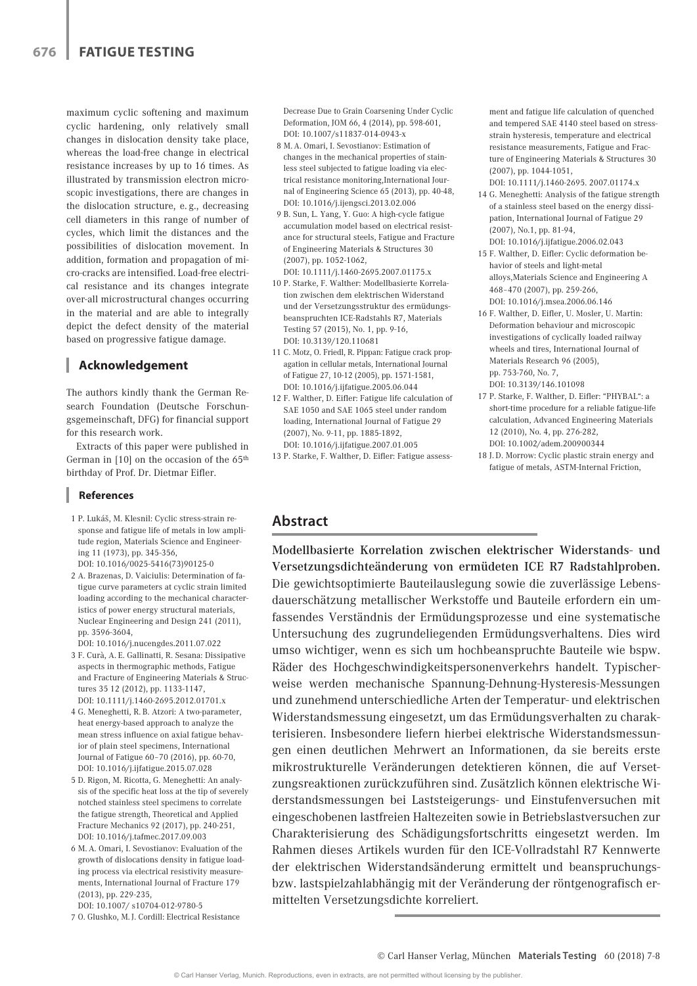maximum cyclic softening and maximum cyclic hardening, only relatively small changes in dislocation density take place, whereas the load-free change in electrical resistance increases by up to 16 times. As illustrated by transmission electron microscopic investigations, there are changes in the dislocation structure, e. g., decreasing cell diameters in this range of number of cycles, which limit the distances and the possibilities of dislocation movement. In addition, formation and propagation of micro-cracks are intensified. Load-free electrical resistance and its changes integrate over-all microstructural changes occurring in the material and are able to integrally depict the defect density of the material based on progressive fatigue damage.

# **Acknowledgement**

The authors kindly thank the German Research Foundation (Deutsche Forschungsgemeinschaft, DFG) for financial support for this research work.

Extracts of this paper were published in German in [10] on the occasion of the 65th birthday of Prof. Dr. Dietmar Eifler.

#### **References**

- 1 P. Lukáš, M. Klesnil: Cyclic stress-strain response and fatigue life of metals in low amplitude region, Materials Science and Engineering 11 (1973), pp. 345-356, DOI: 10.1016/0025-5416(73)90125-0
- 2 A. Brazenas, D. Vaiciulis: Determination of fatigue curve parameters at cyclic strain limited loading according to the mechanical characteristics of power energy structural materials, Nuclear Engineering and Design 241 (2011), pp. 3596-3604,

DOI: 10.1016/j.nucengdes.2011.07.022

- 3 F. Curà, A. E. Gallinatti, R. Sesana: Dissipative aspects in thermographic methods, Fatigue and Fracture of Engineering Materials & Structures 35 12 (2012), pp. 1133-1147, DOI: 10.1111/j.1460-2695.2012.01701.x
- 4 G. Meneghetti, R. B. Atzori: A two-parameter, heat energy-based approach to analyze the mean stress influence on axial fatigue behavior of plain steel specimens, International Journal of Fatigue 60–70 (2016), pp. 60-70, DOI: 10.1016/j.ijfatigue.2015.07.028
- 5 D. Rigon, M. Ricotta, G. Meneghetti: An analysis of the specific heat loss at the tip of severely notched stainless steel specimens to correlate the fatigue strength, Theoretical and Applied Fracture Mechanics 92 (2017), pp. 240-251, DOI: 10.1016/j.tafmec.2017.09.003
- 6 M. A. Omari, I. Sevostianov: Evaluation of the growth of dislocations density in fatigue loading process via electrical resistivity measurements, International Journal of Fracture 179 (2013), pp. 229-235, DOI: 10.1007/ s10704-012-9780-5

 7 O. Glushko, M. J. Cordill: Electrical Resistance

Decrease Due to Grain Coarsening Under Cyclic Deformation, JOM 66, 4 (2014), pp. 598-601, DOI: 10.1007/s11837-014-0943-x

- 8 M. A. Omari, I. Sevostianov: Estimation of changes in the mechanical properties of stainless steel subjected to fatigue loading via electrical resistance monitoring,International Journal of Engineering Science 65 (2013), pp. 40-48, DOI: 10.1016/j.ijengsci.2013.02.006
- 9 B. Sun, L. Yang, Y. Guo: A high-cycle fatigue accumulation model based on electrical resistance for structural steels, Fatigue and Fracture of Engineering Materials & Structures 30 (2007), pp. 1052-1062,
- DOI: 10.1111/j.1460-2695.2007.01175.x 10 P. Starke, F. Walther: Modellbasierte Korrelation zwischen dem elektrischen Widerstand und der Versetzungsstruktur des ermüdungsbeanspruchten ICE-Radstahls R7, Materials Testing 57 (2015), No. 1, pp. 9-16, DOI: 10.3139/120.110681
- 11 C. Motz, O. Friedl, R. Pippan: Fatigue crack propagation in cellular metals, International Journal of Fatigue 27, 10-12 (2005), pp. 1571-1581, DOI: 10.1016/j.ijfatigue.2005.06.044
- 12 F. Walther, D. Eifler: Fatigue life calculation of SAE 1050 and SAE 1065 steel under random loading, International Journal of Fatigue 29 (2007), No. 9-11, pp. 1885-1892, DOI: 10.1016/j.ijfatigue.2007.01.005

13 P. Starke, F. Walther, D. Eifler: Fatigue assess-

ment and fatigue life calculation of quenched and tempered SAE 4140 steel based on stressstrain hysteresis, temperature and electrical resistance measurements, Fatigue and Fracture of Engineering Materials & Structures 30 (2007), pp. 1044-1051,

- DOI: 10.1111/j.1460-2695. 2007.01174.x 14 G. Meneghetti: Analysis of the fatigue strength of a stainless steel based on the energy dissipation, International Journal of Fatigue 29 (2007), No.1, pp. 81-94, DOI: 10.1016/j.ijfatigue.2006.02.043
- 15 F. Walther, D. Eifler: Cyclic deformation behavior of steels and light-metal alloys,Materials Science and Engineering A 468–470 (2007), pp. 259-266, DOI: 10.1016/j.msea.2006.06.146
- 16 F. Walther, D. Eifler, U. Mosler, U. Martin: Deformation behaviour and microscopic investigations of cyclically loaded railway wheels and tires, International Journal of Materials Research 96 (2005), pp. 753-760, No. 7, DOI: 10.3139/146.101098
- 17 P. Starke, F. Walther, D. Eifler: "PHYBAL": a short-time procedure for a reliable fatigue-life calculation, Advanced Engineering Materials 12 (2010), No. 4, pp. 276-282, DOI: 10.1002/adem.200900344
- 18 J. D. Morrow: Cyclic plastic strain energy and fatigue of metals, ASTM-Internal Friction,

# **Abstract**

Modellbasierte Korrelation zwischen elektrischer Widerstands- und Versetzungsdichteänderung von ermüdeten ICE R7 Radstahlproben. Die gewichtsoptimierte Bauteilauslegung sowie die zuverlässige Lebensdauerschätzung metallischer Werkstoffe und Bauteile erfordern ein umfassendes Verständnis der Ermüdungsprozesse und eine systematische Untersuchung des zugrundeliegenden Ermüdungsverhaltens. Dies wird umso wichtiger, wenn es sich um hochbeanspruchte Bauteile wie bspw. Räder des Hochgeschwindigkeitspersonenverkehrs handelt. Typischerweise werden mechanische Spannung-Dehnung-Hysteresis-Messungen und zunehmend unterschiedliche Arten der Temperatur- und elektrischen Widerstandsmessung eingesetzt, um das Ermüdungsverhalten zu charakterisieren. Insbesondere liefern hierbei elektrische Widerstandsmessungen einen deutlichen Mehrwert an Informationen, da sie bereits erste mikrostrukturelle Veränderungen detektieren können, die auf Versetzungsreaktionen zurückzuführen sind. Zusätzlich können elektrische Widerstandsmessungen bei Laststeigerungs- und Einstufenversuchen mit eingeschobenen lastfreien Haltezeiten sowie in Betriebslastversuchen zur Charakterisierung des Schädigungsfortschritts eingesetzt werden. Im Rahmen dieses Artikels wurden für den ICE-Vollradstahl R7 Kennwerte der elektrischen Widerstandsänderung ermittelt und beanspruchungsbzw. lastspielzahlabhängig mit der Veränderung der röntgenografisch ermittelten Versetzungsdichte korreliert.